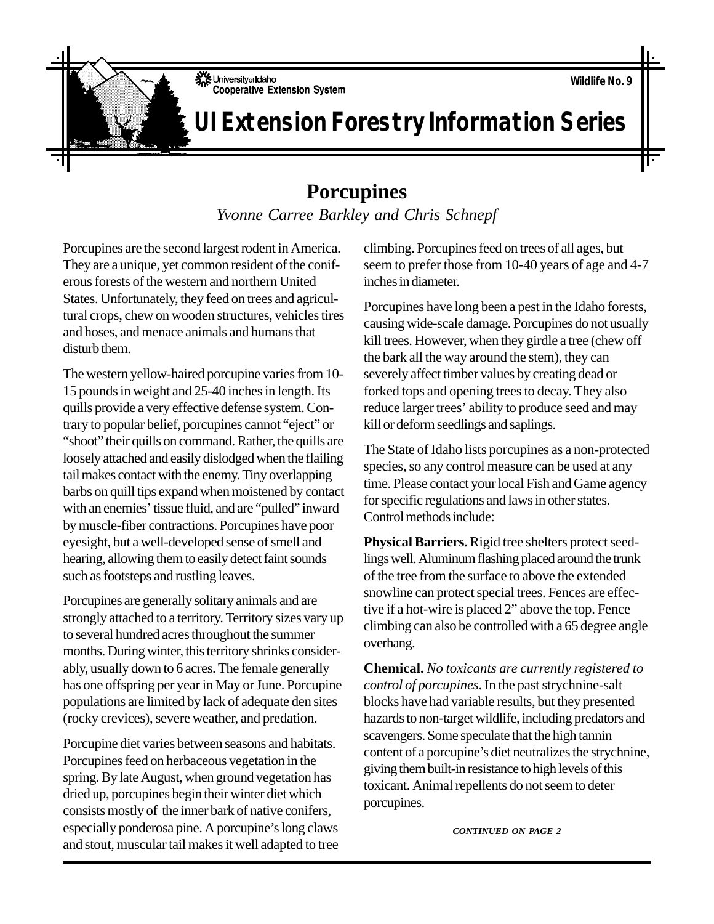University of Idaho **Cooperative Extension System** 

## **UI Extension Forestry Information Series**

## **Porcupines**

*Yvonne Carree Barkley and Chris Schnepf*

Porcupines are the second largest rodent in America. They are a unique, yet common resident of the coniferous forests of the western and northern United States. Unfortunately, they feed on trees and agricultural crops, chew on wooden structures, vehicles tires and hoses, and menace animals and humans that disturb them.

The western yellow-haired porcupine varies from 10- 15 pounds in weight and 25-40 inches in length. Its quills provide a very effective defense system. Contrary to popular belief, porcupines cannot "eject" or "shoot" their quills on command. Rather, the quills are loosely attached and easily dislodged when the flailing tail makes contact with the enemy. Tiny overlapping barbs on quill tips expand when moistened by contact with an enemies' tissue fluid, and are "pulled" inward by muscle-fiber contractions. Porcupines have poor eyesight, but a well-developed sense of smell and hearing, allowing them to easily detect faint sounds such as footsteps and rustling leaves.

Porcupines are generally solitary animals and are strongly attached to a territory. Territory sizes vary up to several hundred acres throughout the summer months. During winter, this territory shrinks considerably, usually down to 6 acres. The female generally has one offspring per year in May or June. Porcupine populations are limited by lack of adequate den sites (rocky crevices), severe weather, and predation.

Porcupine diet varies between seasons and habitats. Porcupines feed on herbaceous vegetation in the spring. By late August, when ground vegetation has dried up, porcupines begin their winter diet which consists mostly of the inner bark of native conifers, especially ponderosa pine. A porcupine's long claws and stout, muscular tail makes it well adapted to tree climbing. Porcupines feed on trees of all ages, but seem to prefer those from 10-40 years of age and 4-7 inches in diameter.

Porcupines have long been a pest in the Idaho forests, causing wide-scale damage. Porcupines do not usually kill trees. However, when they girdle a tree (chew off the bark all the way around the stem), they can severely affect timber values by creating dead or forked tops and opening trees to decay. They also reduce larger trees' ability to produce seed and may kill or deform seedlings and saplings.

The State of Idaho lists porcupines as a non-protected species, so any control measure can be used at any time. Please contact your local Fish and Game agency for specific regulations and laws in other states. Control methods include:

**Physical Barriers.** Rigid tree shelters protect seedlings well. Aluminum flashing placed around the trunk of the tree from the surface to above the extended snowline can protect special trees. Fences are effective if a hot-wire is placed 2" above the top. Fence climbing can also be controlled with a 65 degree angle overhang.

**Chemical.** *No toxicants are currently registered to control of porcupines*. In the past strychnine-salt blocks have had variable results, but they presented hazards to non-target wildlife, including predators and scavengers. Some speculate that the high tannin content of a porcupine's diet neutralizes the strychnine, giving them built-in resistance to high levels of this toxicant. Animal repellents do not seem to deter porcupines.

*CONTINUED ON PAGE 2*